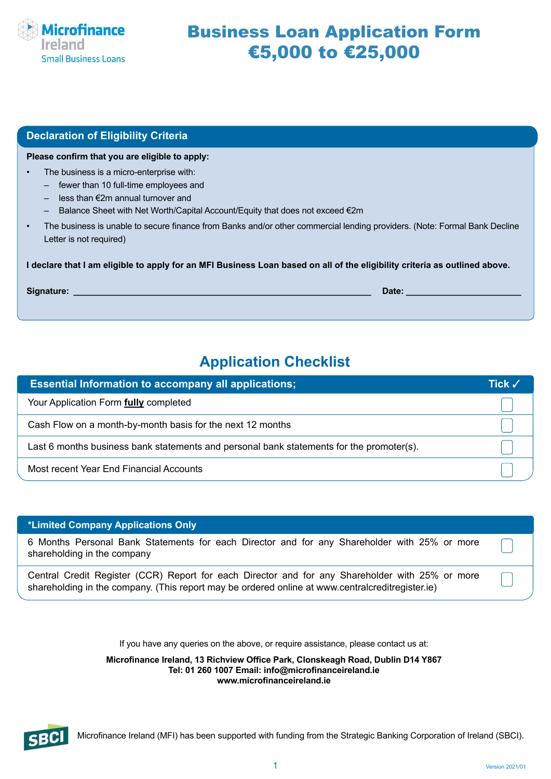

# Business Loan Application Form €5,000 to €25,000

| <b>Declaration of Eligibility Criteria</b>                                                                                                                                                                               |
|--------------------------------------------------------------------------------------------------------------------------------------------------------------------------------------------------------------------------|
| Please confirm that you are eligible to apply:                                                                                                                                                                           |
| The business is a micro-enterprise with:<br>fewer than 10 full-time employees and<br>less than $\notin 2m$ annual turnover and<br>Balance Sheet with Net Worth/Capital Account/Equity that does not exceed $\epsilon$ 2m |
| The business is unable to secure finance from Banks and/or other commercial lending providers. (Note: Formal Bank Decline<br>$\bullet$<br>Letter is not required)                                                        |
| I declare that I am eligible to apply for an MFI Business Loan based on all of the eligibility criteria as outlined above.                                                                                               |
| Signature:<br>Date:                                                                                                                                                                                                      |

# **Application Checklist**

| <b>Essential Information to accompany all applications;</b>                              | Tick √ |
|------------------------------------------------------------------------------------------|--------|
| Your Application Form <b>fully</b> completed                                             |        |
| Cash Flow on a month-by-month basis for the next 12 months                               |        |
| Last 6 months business bank statements and personal bank statements for the promoter(s). |        |
| Most recent Year End Financial Accounts                                                  |        |

### **\*Limited Company Applications Only**

6 Months Personal Bank Statements for each Director and for any Shareholder with 25% or more shareholding in the company

Central Credit Register (CCR) Report for each Director and for any Shareholder with 25% or more shareholding in the company. (This report may be ordered online at www.centralcreditregister.ie)

> If you have any queries on the above, or require assistance, please contact us at: **Microfinance Ireland, 13 Richview Office Park, Clonskeagh Road, Dublin D14 Y867 Tel: 01 260 1007 Email: info@microfinanceireland.ie www.microfinanceireland.ie**



Microfinance Ireland (MFI) has been supported with funding from the Strategic Banking Corporation of Ireland (SBCI).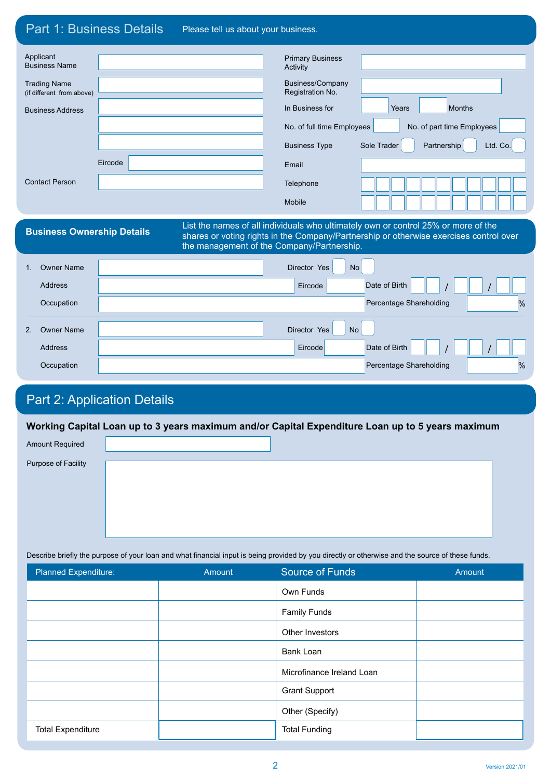| <b>Part 1: Business Details</b>                  |                                    | Please tell us about your business. |                                            |                                                                                                                                                                              |
|--------------------------------------------------|------------------------------------|-------------------------------------|--------------------------------------------|------------------------------------------------------------------------------------------------------------------------------------------------------------------------------|
|                                                  |                                    |                                     |                                            |                                                                                                                                                                              |
| Applicant<br><b>Business Name</b>                |                                    |                                     | <b>Primary Business</b><br>Activity        |                                                                                                                                                                              |
| <b>Trading Name</b><br>(if different from above) |                                    |                                     | Business/Company<br>Registration No.       |                                                                                                                                                                              |
| <b>Business Address</b>                          |                                    |                                     | In Business for                            | <b>Months</b><br>Years                                                                                                                                                       |
|                                                  |                                    |                                     | No. of full time Employees                 | No. of part time Employees                                                                                                                                                   |
|                                                  |                                    |                                     | <b>Business Type</b>                       | Partnership<br>Sole Trader<br>Ltd. Co.                                                                                                                                       |
|                                                  | Eircode                            |                                     | Email                                      |                                                                                                                                                                              |
| <b>Contact Person</b>                            |                                    |                                     | Telephone                                  |                                                                                                                                                                              |
|                                                  |                                    |                                     | <b>Mobile</b>                              |                                                                                                                                                                              |
|                                                  |                                    |                                     |                                            |                                                                                                                                                                              |
| <b>Business Ownership Details</b>                |                                    |                                     | the management of the Company/Partnership. | List the names of all individuals who ultimately own or control 25% or more of the<br>shares or voting rights in the Company/Partnership or otherwise exercises control over |
| <b>Owner Name</b><br>$1_{-}$                     |                                    |                                     | Director Yes<br><b>No</b>                  |                                                                                                                                                                              |
| Address                                          |                                    |                                     | Eircode                                    | Date of Birth                                                                                                                                                                |
| Occupation                                       |                                    |                                     |                                            | %<br>Percentage Shareholding                                                                                                                                                 |
| <b>Owner Name</b><br>2.                          |                                    |                                     | <b>No</b><br>Director Yes                  |                                                                                                                                                                              |
| Address                                          |                                    |                                     | Eircode                                    | Date of Birth                                                                                                                                                                |
| Occupation                                       |                                    |                                     |                                            | Percentage Shareholding<br>%                                                                                                                                                 |
|                                                  | <b>Part 2: Application Details</b> |                                     |                                            |                                                                                                                                                                              |

Amount Required

Purpose of Facility

Describe briefly the purpose of your loan and what financial input is being provided by you directly or otherwise and the source of these funds.

| Planned Expenditure:     | Amount | <b>Source of Funds</b>    | Amount |
|--------------------------|--------|---------------------------|--------|
|                          |        | Own Funds                 |        |
|                          |        | <b>Family Funds</b>       |        |
|                          |        | Other Investors           |        |
|                          |        | Bank Loan                 |        |
|                          |        | Microfinance Ireland Loan |        |
|                          |        | <b>Grant Support</b>      |        |
|                          |        | Other (Specify)           |        |
| <b>Total Expenditure</b> |        | <b>Total Funding</b>      |        |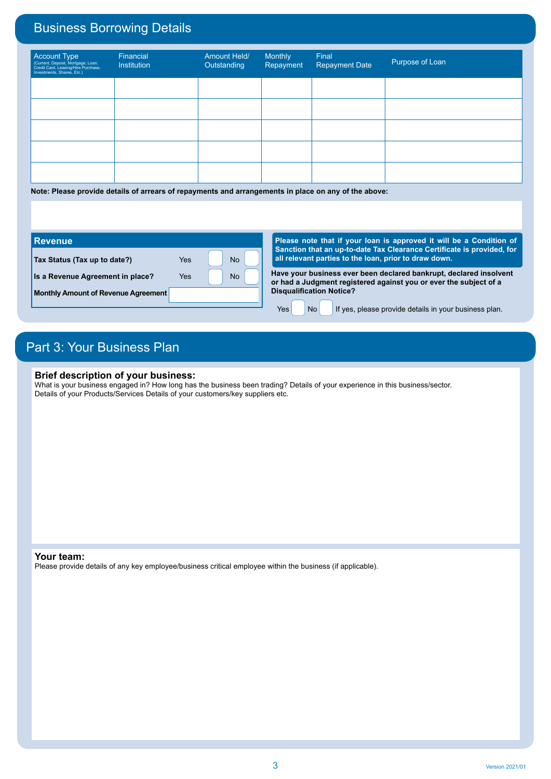# Business Borrowing Details

| Account Type<br>(Current, Deposit, Mortgage, Loan,<br>Credit Card, Leasing/Hire Purchase,<br>Investments, Shares, Etc.) | Financial<br>Institution | Amount Held/<br>Outstanding | Monthly<br>Repayment | Final<br><b>Repayment Date</b> | Purpose of Loan |
|-------------------------------------------------------------------------------------------------------------------------|--------------------------|-----------------------------|----------------------|--------------------------------|-----------------|
|                                                                                                                         |                          |                             |                      |                                |                 |
|                                                                                                                         |                          |                             |                      |                                |                 |
|                                                                                                                         |                          |                             |                      |                                |                 |
|                                                                                                                         |                          |                             |                      |                                |                 |
|                                                                                                                         |                          |                             |                      |                                |                 |

**Note: Please provide details of arrears of repayments and arrangements in place on any of the above:**

#### **Tax Status (Tax up to date?)** Yes Yes No **Is a Revenue Agreement in place?** Yes **No Monthly Amount of Revenue Agreement Revenue Have your business ever been declared bankrupt, declared insolvent or had a Judgment registered against you or ever the subject of a Disqualification Notice?**  $Yes$  No If yes, please provide details in your business plan. **Please note that if your loan is approved it will be a Condition of Sanction that an up-to-date Tax Clearance Certificate is provided, for all relevant parties to the loan, prior to draw down.**

## Part 3: Your Business Plan

### **Brief description of your business:**

What is your business engaged in? How long has the business been trading? Details of your experience in this business/sector. Details of your Products/Services Details of your customers/key suppliers etc.

#### **Your team:**

Please provide details of any key employee/business critical employee within the business (if applicable).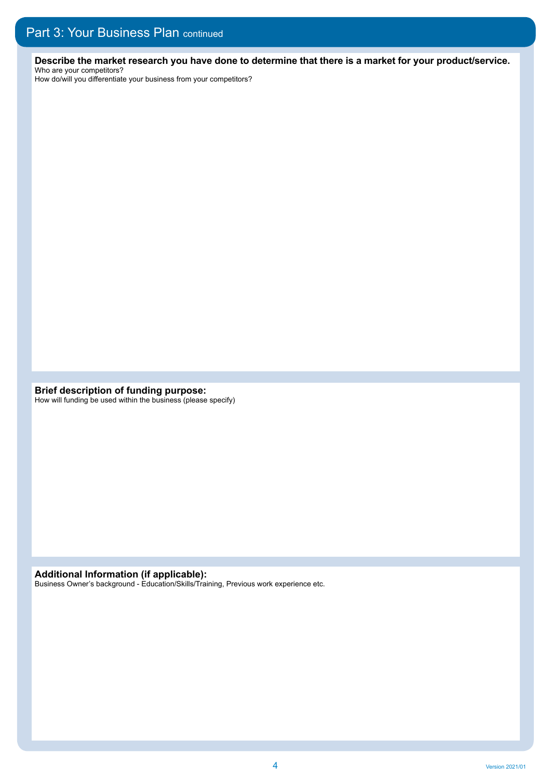**Describe the market research you have done to determine that there is a market for your product/service.**  Who are your competitors?

How do/will you differentiate your business from your competitors?

**Brief description of funding purpose:** How will funding be used within the business (please specify)

**Additional Information (if applicable):**

Business Owner's background - Education/Skills/Training, Previous work experience etc.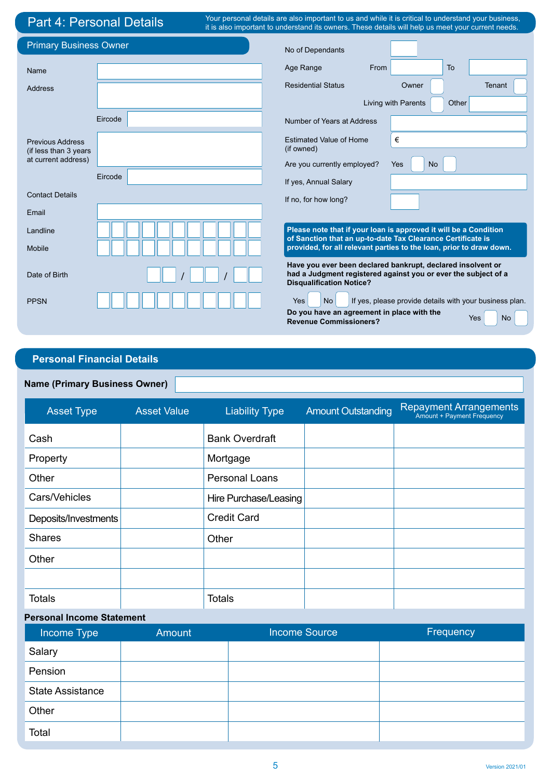# Part 4: Personal Details

Your personal details are also important to us and while it is critical to understand your business, it is also important to understand its owners. These details will help us meet your current needs.

| <b>Primary Business Owner</b>                    |         | No of Dependants                                                            |                                                                                                                               |
|--------------------------------------------------|---------|-----------------------------------------------------------------------------|-------------------------------------------------------------------------------------------------------------------------------|
| Name                                             |         | Age Range<br>From                                                           | <b>To</b>                                                                                                                     |
| <b>Address</b>                                   |         | <b>Residential Status</b>                                                   | Owner<br>Tenant                                                                                                               |
|                                                  |         |                                                                             | Living with Parents<br>Other                                                                                                  |
|                                                  | Eircode | Number of Years at Address                                                  |                                                                                                                               |
| <b>Previous Address</b><br>(if less than 3 years |         | <b>Estimated Value of Home</b><br>(if owned)                                | €                                                                                                                             |
| at current address)                              |         | Are you currently employed?                                                 | <b>No</b><br><b>Yes</b>                                                                                                       |
|                                                  | Eircode | If yes, Annual Salary                                                       |                                                                                                                               |
| <b>Contact Details</b>                           |         | If no, for how long?                                                        |                                                                                                                               |
| Email                                            |         |                                                                             |                                                                                                                               |
| Landline                                         |         | of Sanction that an up-to-date Tax Clearance Certificate is                 | Please note that if your loan is approved it will be a Condition                                                              |
| Mobile                                           |         |                                                                             | provided, for all relevant parties to the loan, prior to draw down.                                                           |
| Date of Birth                                    |         | <b>Disqualification Notice?</b>                                             | Have you ever been declared bankrupt, declared insolvent or<br>had a Judgment registered against you or ever the subject of a |
| <b>PPSN</b>                                      |         | <b>No</b><br><b>Yes</b>                                                     | If yes, please provide details with your business plan.                                                                       |
|                                                  |         | Do you have an agreement in place with the<br><b>Revenue Commissioners?</b> | Yes<br><b>No</b>                                                                                                              |

## **Personal Financial Details**

### **Name (Primary Business Owner)**

| <b>Asset Type</b>    | <b>Asset Value</b> | <b>Liability Type</b> | <b>Amount Outstanding</b> | <b>Repayment Arrangements</b><br>Amount + Payment Frequency |
|----------------------|--------------------|-----------------------|---------------------------|-------------------------------------------------------------|
| Cash                 |                    | <b>Bank Overdraft</b> |                           |                                                             |
| Property             |                    | Mortgage              |                           |                                                             |
| Other                |                    | <b>Personal Loans</b> |                           |                                                             |
| Cars/Vehicles        |                    | Hire Purchase/Leasing |                           |                                                             |
| Deposits/Investments |                    | <b>Credit Card</b>    |                           |                                                             |
| <b>Shares</b>        |                    | Other                 |                           |                                                             |
| Other                |                    |                       |                           |                                                             |
|                      |                    |                       |                           |                                                             |
| <b>Totals</b>        |                    | <b>Totals</b>         |                           |                                                             |

### **Personal Income Statement**

| Income Type             | Amount | <b>Income Source</b> | Frequency |
|-------------------------|--------|----------------------|-----------|
| Salary                  |        |                      |           |
| Pension                 |        |                      |           |
| <b>State Assistance</b> |        |                      |           |
| Other                   |        |                      |           |
| Total                   |        |                      |           |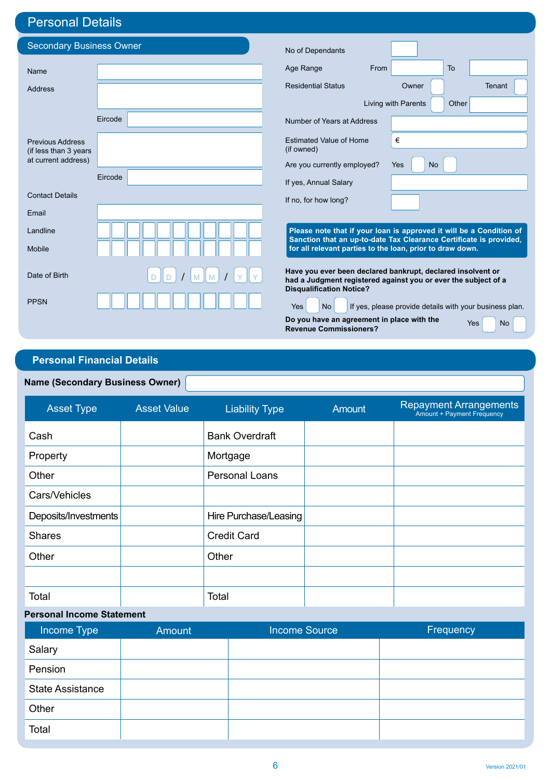# Personal Details

| <b>Secondary Business Owner</b>              |         |                                                                             |                                                                                                                               |
|----------------------------------------------|---------|-----------------------------------------------------------------------------|-------------------------------------------------------------------------------------------------------------------------------|
|                                              |         | No of Dependants                                                            |                                                                                                                               |
| Name                                         |         | Age Range<br>From                                                           | To                                                                                                                            |
| <b>Address</b>                               |         | <b>Residential Status</b>                                                   | Owner<br>Tenant                                                                                                               |
|                                              |         |                                                                             | Living with Parents<br>Other                                                                                                  |
|                                              | Eircode | Number of Years at Address                                                  |                                                                                                                               |
| <b>Previous Address</b>                      |         | <b>Estimated Value of Home</b>                                              | €                                                                                                                             |
| (if less than 3 years<br>at current address) |         | (if owned)<br>Are you currently employed?                                   | Yes<br><b>No</b>                                                                                                              |
|                                              | Eircode | If yes, Annual Salary                                                       |                                                                                                                               |
| <b>Contact Details</b>                       |         | If no, for how long?                                                        |                                                                                                                               |
| Email                                        |         |                                                                             |                                                                                                                               |
| Landline                                     |         |                                                                             | Please note that if your loan is approved it will be a Condition of                                                           |
| Mobile                                       |         | for all relevant parties to the loan, prior to draw down.                   | Sanction that an up-to-date Tax Clearance Certificate is provided,                                                            |
| Date of Birth                                |         | <b>Disqualification Notice?</b>                                             | Have you ever been declared bankrupt, declared insolvent or<br>had a Judgment registered against you or ever the subject of a |
| <b>PPSN</b>                                  |         | <b>No</b><br>Yes                                                            | If yes, please provide details with your business plan.                                                                       |
|                                              |         | Do you have an agreement in place with the<br><b>Revenue Commissioners?</b> | Yes<br><b>No</b>                                                                                                              |

## **Personal Financial Details**

### **Name (Secondary Business Owner)**

| <b>Asset Type</b>    | <b>Asset Value</b> | <b>Liability Type</b> | Amount | <b>Repayment Arrangements</b><br>Amount + Payment Frequency |
|----------------------|--------------------|-----------------------|--------|-------------------------------------------------------------|
| Cash                 |                    | <b>Bank Overdraft</b> |        |                                                             |
| Property             |                    | Mortgage              |        |                                                             |
| Other                |                    | <b>Personal Loans</b> |        |                                                             |
| Cars/Vehicles        |                    |                       |        |                                                             |
| Deposits/Investments |                    | Hire Purchase/Leasing |        |                                                             |
| <b>Shares</b>        |                    | <b>Credit Card</b>    |        |                                                             |
| Other                |                    | Other                 |        |                                                             |
|                      |                    |                       |        |                                                             |
| Total                |                    | Total                 |        |                                                             |

### **Personal Income Statement**

| Income Type             | Amount | <b>Income Source</b> | Frequency |
|-------------------------|--------|----------------------|-----------|
| Salary                  |        |                      |           |
| Pension                 |        |                      |           |
| <b>State Assistance</b> |        |                      |           |
| Other                   |        |                      |           |
| Total                   |        |                      |           |